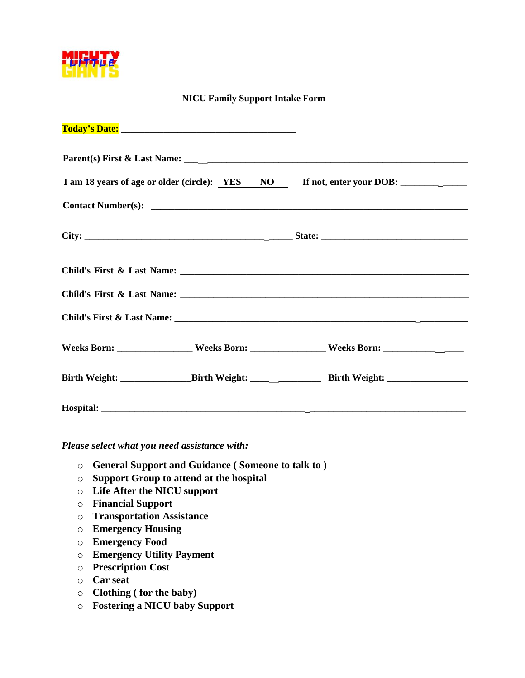

## **NICU Family Support Intake Form**

|  | Weeks Born: ___________________Weeks Born: __________________Weeks Born: ___________________________ |
|--|------------------------------------------------------------------------------------------------------|
|  |                                                                                                      |
|  |                                                                                                      |

*Please select what you need assistance with:* 

- o **General Support and Guidance ( Someone to talk to )**
- o **Support Group to attend at the hospital**
- o **Life After the NICU support**
- o **Financial Support**
- o **Transportation Assistance**
- o **Emergency Housing**
- o **Emergency Food**
- o **Emergency Utility Payment**
- o **Prescription Cost**
- o **Car seat**
- o **Clothing ( for the baby)**
- o **Fostering a NICU baby Support**